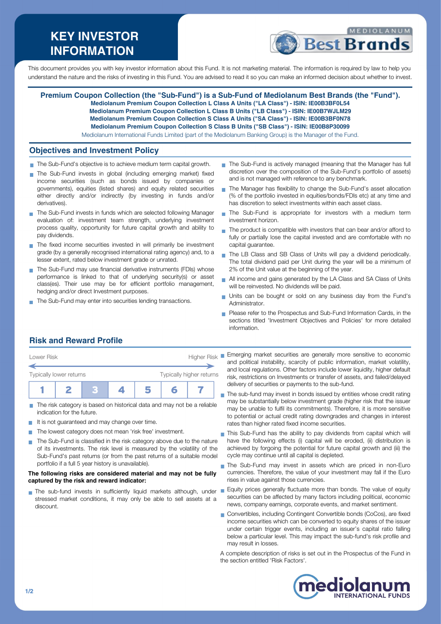# **KEY INVESTOR INFORMATION**



This document provides you with key investor information about this Fund. It is not marketing material. The information is required by law to help you understand the nature and the risks of investing in this Fund. You are advised to read it so you can make an informed decision about whether to invest.

**Premium Coupon Collection (the "Sub-Fund") is a Sub-Fund of Mediolanum Best Brands (the "Fund"). Mediolanum Premium Coupon Collection L Class A Units ("LA Class") - ISIN: IE00B3BF0L54 Mediolanum Premium Coupon Collection L Class B Units ("LB Class") - ISIN: IE00B7WJLM29 Mediolanum Premium Coupon Collection S Class A Units ("SA Class") - ISIN: IE00B3BF0N78 Mediolanum Premium Coupon Collection S Class B Units ("SB Class") - ISIN: IE00B8P30099** Mediolanum International Funds Limited (part of the Mediolanum Banking Group) is the Manager of the Fund.

### **Objectives and Investment Policy**

- The Sub-Fund's objective is to achieve medium term capital growth.
- The Sub-Fund invests in global (including emerging market) fixed income securities (such as bonds issued by companies or governments), equities (listed shares) and equity related securities either directly and/or indirectly (by investing in funds and/or derivatives).
- The Sub-Fund invests in funds which are selected following Manager evaluation of: investment team strength, underlying investment process quality, opportunity for future capital growth and ability to pay dividends.
- $\blacksquare$  The fixed income securities invested in will primarily be investment grade (by a generally recognised international rating agency) and, to a lesser extent, rated below investment grade or unrated.
- The Sub-Fund may use financial derivative instruments (FDIs) whose performance is linked to that of underlying security(s) or asset class(es). Their use may be for efficient portfolio management, hedging and/or direct Investment purposes.
- The Sub-Fund may enter into securities lending transactions.
- The Sub-Fund is actively managed (meaning that the Manager has full discretion over the composition of the Sub-Fund's portfolio of assets) and is not managed with reference to any benchmark.
- The Manager has flexibility to change the Sub-Fund's asset allocation (% of the portfolio invested in equities/bonds/FDIs etc) at any time and has discretion to select investments within each asset class
- The Sub-Fund is appropriate for investors with a medium term  $\mathbf{r}$ investment horizon.
- The product is compatible with investors that can bear and/or afford to fully or partially lose the capital invested and are comfortable with no capital guarantee.
- The LB Class and SB Class of Units will pay a dividend periodically.  $\mathbf{r}$ The total dividend paid per Unit during the year will be a minimum of 2% of the Unit value at the beginning of the year.
- All income and gains generated by the LA Class and SA Class of Units will be reinvested. No dividends will be paid.
- Units can be bought or sold on any business day from the Fund's  $\mathbf{r}$ Administrator.
- Please refer to the Prospectus and Sub-Fund Information Cards, in the sections titled 'Investment Objectives and Policies' for more detailed information.

# **Risk and Reward Profile**

| Lower Risk              |  |  | <b>Higher Risk</b>       |  |  |  |  |
|-------------------------|--|--|--------------------------|--|--|--|--|
| Typically lower returns |  |  | Typically higher returns |  |  |  |  |
|                         |  |  |                          |  |  |  |  |

- The risk category is based on historical data and may not be a reliable indication for the future.
- It is not guaranteed and may change over time.
- The lowest category does not mean 'risk free' investment. m.
- The Sub-Fund is classified in the risk category above due to the nature  $\sim$ of its investments. The risk level is measured by the volatility of the Sub-Fund's past returns (or from the past returns of a suitable model portfolio if a full 5 year history is unavailable).

#### **The following risks are considered material and may not be fully captured by the risk and reward indicator:**

stressed market conditions, it may only be able to sell assets at a discount.

**Emerging market securities are generally more sensitive to economic** and political instability, scarcity of public information, market volatility, and local regulations. Other factors include lower liquidity, higher default risk, restrictions on Investments or transfer of assets, and failed/delayed delivery of securities or payments to the sub-fund.

- The sub-fund may invest in bonds issued by entities whose credit rating may be substantially below investment grade (higher risk that the issuer may be unable to fulfil its commitments). Therefore, it is more sensitive to potential or actual credit rating downgrades and changes in interest rates than higher rated fixed income securities.
- This Sub-Fund has the ability to pay dividends from capital which will  $\blacksquare$ have the following effects (i) capital will be eroded, (ii) distribution is achieved by forgoing the potential for future capital growth and (iii) the cycle may continue until all capital is depleted.
- The Sub-Fund may invest in assets which are priced in non-Euro  $\overline{\phantom{a}}$ currencies. Therefore, the value of your investment may fall if the Euro rises in value against those currencies.
- The sub-fund invests in sufficiently liquid markets although, under Equity prices generally fluctuate more than bonds. The value of equity securities can be affected by many factors including political, economic news, company earnings, corporate events, and market sentiment.
	- Convertibles, including Contingent Convertible bonds (CoCos), are fixed income securities which can be converted to equity shares of the issuer under certain trigger events, including an issuer's capital ratio falling below a particular level. This may impact the sub-fund's risk profile and may result in losses.

A complete description of risks is set out in the Prospectus of the Fund in the section entitled 'Risk Factors'.